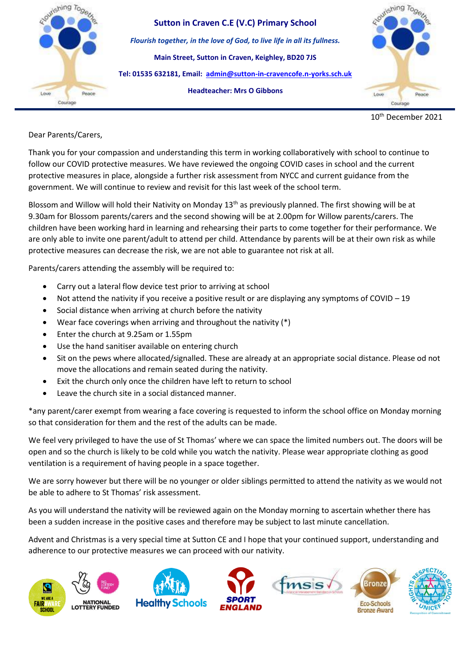

10th December 2021

**Dolore** 

Dear Parents/Carers,

Thank you for your compassion and understanding this term in working collaboratively with school to continue to follow our COVID protective measures. We have reviewed the ongoing COVID cases in school and the current protective measures in place, alongside a further risk assessment from NYCC and current guidance from the government. We will continue to review and revisit for this last week of the school term.

Blossom and Willow will hold their Nativity on Monday 13<sup>th</sup> as previously planned. The first showing will be at 9.30am for Blossom parents/carers and the second showing will be at 2.00pm for Willow parents/carers. The children have been working hard in learning and rehearsing their parts to come together for their performance. We are only able to invite one parent/adult to attend per child. Attendance by parents will be at their own risk as while protective measures can decrease the risk, we are not able to guarantee not risk at all.

Parents/carers attending the assembly will be required to:

- Carry out a lateral flow device test prior to arriving at school
- Not attend the nativity if you receive a positive result or are displaying any symptoms of COVID 19
- Social distance when arriving at church before the nativity
- Wear face coverings when arriving and throughout the nativity (\*)
- Enter the church at 9.25am or 1.55pm
- Use the hand sanitiser available on entering church
- Sit on the pews where allocated/signalled. These are already at an appropriate social distance. Please od not move the allocations and remain seated during the nativity.
- Exit the church only once the children have left to return to school
- Leave the church site in a social distanced manner.

\*any parent/carer exempt from wearing a face covering is requested to inform the school office on Monday morning so that consideration for them and the rest of the adults can be made.

We feel very privileged to have the use of St Thomas' where we can space the limited numbers out. The doors will be open and so the church is likely to be cold while you watch the nativity. Please wear appropriate clothing as good ventilation is a requirement of having people in a space together.

We are sorry however but there will be no younger or older siblings permitted to attend the nativity as we would not be able to adhere to St Thomas' risk assessment.

As you will understand the nativity will be reviewed again on the Monday morning to ascertain whether there has been a sudden increase in the positive cases and therefore may be subject to last minute cancellation.

Advent and Christmas is a very special time at Sutton CE and I hope that your continued support, understanding and adherence to our protective measures we can proceed with our nativity.